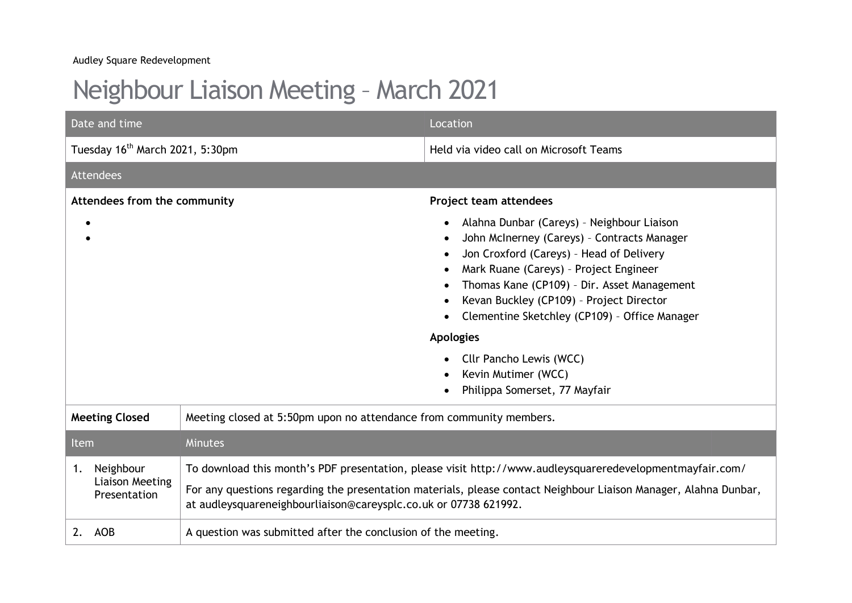Audley Square Redevelopment

## Neighbour Liaison Meeting – March 2021

| Date and time                                             |                                                                                                                                                                                                                                                                                                  | Location                                                                                                                                                                                                                                                                                                                                                                                                                           |
|-----------------------------------------------------------|--------------------------------------------------------------------------------------------------------------------------------------------------------------------------------------------------------------------------------------------------------------------------------------------------|------------------------------------------------------------------------------------------------------------------------------------------------------------------------------------------------------------------------------------------------------------------------------------------------------------------------------------------------------------------------------------------------------------------------------------|
| Tuesday 16 <sup>th</sup> March 2021, 5:30pm               |                                                                                                                                                                                                                                                                                                  | Held via video call on Microsoft Teams                                                                                                                                                                                                                                                                                                                                                                                             |
| <b>Attendees</b>                                          |                                                                                                                                                                                                                                                                                                  |                                                                                                                                                                                                                                                                                                                                                                                                                                    |
| Attendees from the community                              |                                                                                                                                                                                                                                                                                                  | Project team attendees                                                                                                                                                                                                                                                                                                                                                                                                             |
|                                                           |                                                                                                                                                                                                                                                                                                  | Alahna Dunbar (Careys) - Neighbour Liaison<br>John McInerney (Careys) - Contracts Manager<br>Jon Croxford (Careys) - Head of Delivery<br>Mark Ruane (Careys) - Project Engineer<br>Thomas Kane (CP109) - Dir. Asset Management<br>Kevan Buckley (CP109) - Project Director<br>Clementine Sketchley (CP109) - Office Manager<br><b>Apologies</b><br>Cllr Pancho Lewis (WCC)<br>Kevin Mutimer (WCC)<br>Philippa Somerset, 77 Mayfair |
| <b>Meeting Closed</b>                                     | Meeting closed at 5:50pm upon no attendance from community members.                                                                                                                                                                                                                              |                                                                                                                                                                                                                                                                                                                                                                                                                                    |
| Item                                                      | <b>Minutes</b>                                                                                                                                                                                                                                                                                   |                                                                                                                                                                                                                                                                                                                                                                                                                                    |
| Neighbour<br>1.<br><b>Liaison Meeting</b><br>Presentation | To download this month's PDF presentation, please visit http://www.audleysquareredevelopmentmayfair.com/<br>For any questions regarding the presentation materials, please contact Neighbour Liaison Manager, Alahna Dunbar,<br>at audleysquareneighbourliaison@careysplc.co.uk or 07738 621992. |                                                                                                                                                                                                                                                                                                                                                                                                                                    |
| 2. AOB                                                    | A question was submitted after the conclusion of the meeting.                                                                                                                                                                                                                                    |                                                                                                                                                                                                                                                                                                                                                                                                                                    |